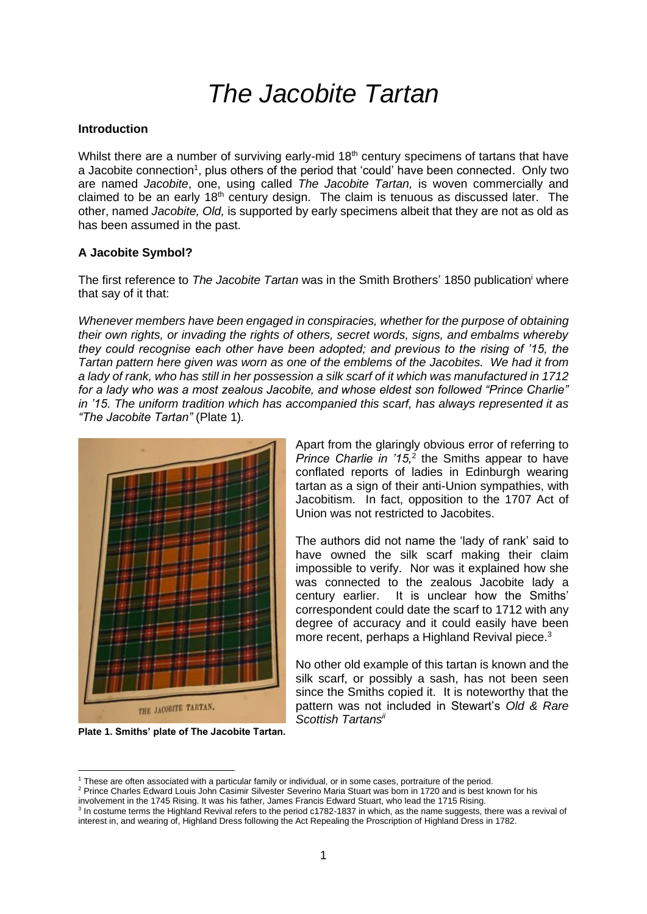# *The Jacobite Tartan*

#### **Introduction**

Whilst there are a number of surviving early-mid 18<sup>th</sup> century specimens of tartans that have a Jacobite connection<sup>1</sup>, plus others of the period that 'could' have been connected. Only two are named *Jacobite*, one, using called *The Jacobite Tartan,* is woven commercially and claimed to be an early  $18<sup>th</sup>$  century design. The claim is tenuous as discussed later. The other, named *Jacobite, Old,* is supported by early specimens albeit that they are not as old as has been assumed in the past.

### **A Jacobite Symbol?**

The first reference to *The Jacobite Tartan* was in the Smith Brothers' 1850 publication<sup>i</sup> where that say of it that:

*Whenever members have been engaged in conspiracies, whether for the purpose of obtaining their own rights, or invading the rights of others, secret words, signs, and embalms whereby they could recognise each other have been adopted; and previous to the rising of '15, the Tartan pattern here given was worn as one of the emblems of the Jacobites. We had it from a lady of rank, who has still in her possession a silk scarf of it which was manufactured in 1712 for a lady who was a most zealous Jacobite, and whose eldest son followed "Prince Charlie" in '15. The uniform tradition which has accompanied this scarf, has always represented it as "The Jacobite Tartan"* (Plate 1)*.*



**Plate 1. Smiths' plate of The Jacobite Tartan.**

Apart from the glaringly obvious error of referring to Prince Charlie in '15,<sup>2</sup> the Smiths appear to have conflated reports of ladies in Edinburgh wearing tartan as a sign of their anti-Union sympathies, with Jacobitism. In fact, opposition to the 1707 Act of Union was not restricted to Jacobites.

The authors did not name the 'lady of rank' said to have owned the silk scarf making their claim impossible to verify. Nor was it explained how she was connected to the zealous Jacobite lady a century earlier. It is unclear how the Smiths' correspondent could date the scarf to 1712 with any degree of accuracy and it could easily have been more recent, perhaps a Highland Revival piece.<sup>3</sup>

No other old example of this tartan is known and the silk scarf, or possibly a sash, has not been seen since the Smiths copied it. It is noteworthy that the pattern was not included in Stewart's *Old & Rare Scottish Tartansii*

<sup>1</sup> These are often associated with a particular family or individual, or in some cases, portraiture of the period.

<sup>2</sup> Prince Charles Edward Louis John Casimir Silvester Severino Maria Stuart was born in 1720 and is best known for his involvement in the 1745 Rising. It was his father, James Francis Edward Stuart, who lead the 1715 Rising.

<sup>&</sup>lt;sup>3</sup> In costume terms the Highland Revival refers to the period c1782-1837 in which, as the name suggests, there was a revival of interest in, and wearing of, Highland Dress following the Act Repealing the Proscription of Highland Dress in 1782.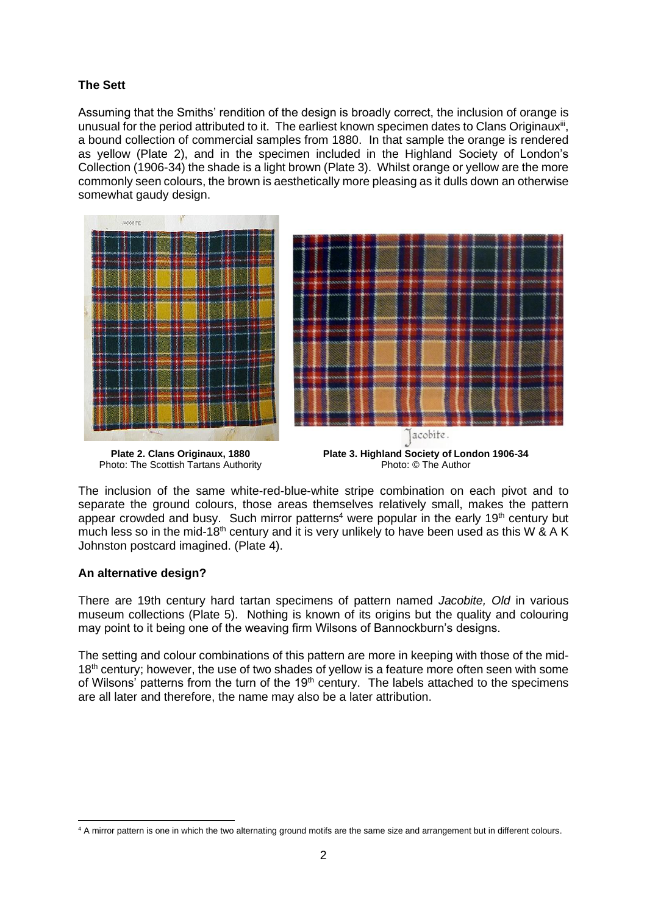## **The Sett**

Assuming that the Smiths' rendition of the design is broadly correct, the inclusion of orange is unusual for the period attributed to it. The earliest known specimen dates to Clans Originaux<sup>iii</sup>, a bound collection of commercial samples from 1880. In that sample the orange is rendered as yellow (Plate 2), and in the specimen included in the Highland Society of London's Collection (1906-34) the shade is a light brown (Plate 3). Whilst orange or yellow are the more commonly seen colours, the brown is aesthetically more pleasing as it dulls down an otherwise somewhat gaudy design.



**Plate 2. Clans Originaux, 1880** Photo: The Scottish Tartans Authority

**Plate 3. Highland Society of London 1906-34** Photo: © The Author

The inclusion of the same white-red-blue-white stripe combination on each pivot and to separate the ground colours, those areas themselves relatively small, makes the pattern appear crowded and busy. Such mirror patterns<sup>4</sup> were popular in the early 19<sup>th</sup> century but much less so in the mid-18<sup>th</sup> century and it is very unlikely to have been used as this W & A K Johnston postcard imagined. (Plate 4).

### **An alternative design?**

There are 19th century hard tartan specimens of pattern named *Jacobite, Old* in various museum collections (Plate 5). Nothing is known of its origins but the quality and colouring may point to it being one of the weaving firm Wilsons of Bannockburn's designs.

The setting and colour combinations of this pattern are more in keeping with those of the mid-18<sup>th</sup> century; however, the use of two shades of yellow is a feature more often seen with some of Wilsons' patterns from the turn of the  $19<sup>th</sup>$  century. The labels attached to the specimens are all later and therefore, the name may also be a later attribution.

<sup>&</sup>lt;sup>4</sup> A mirror pattern is one in which the two alternating ground motifs are the same size and arrangement but in different colours.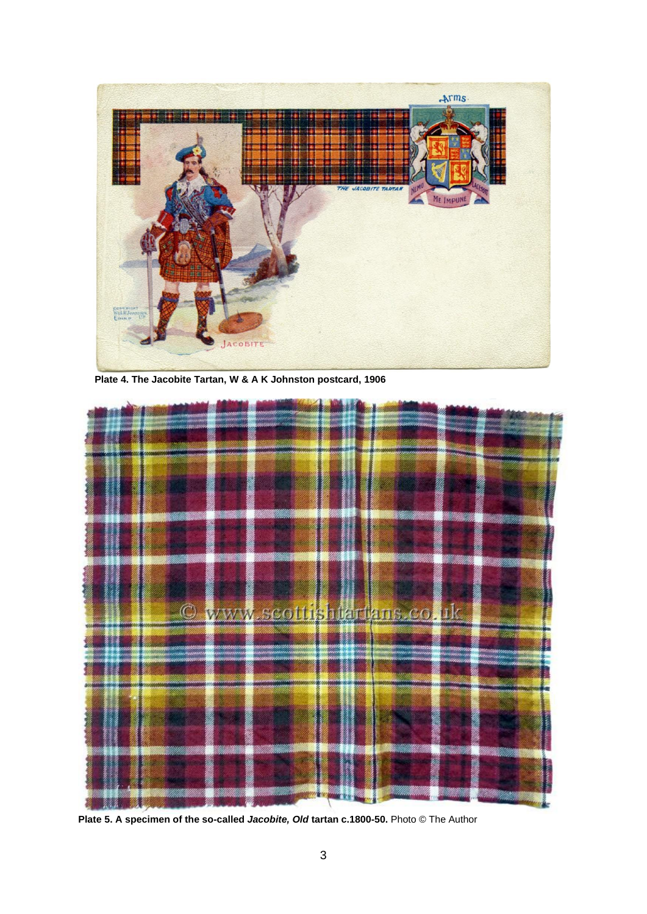

 **Plate 4. The Jacobite Tartan, W & A K Johnston postcard, 1906**



**Plate 5. A specimen of the so-called** *Jacobite, Old* **tartan c.1800-50.** Photo © The Author